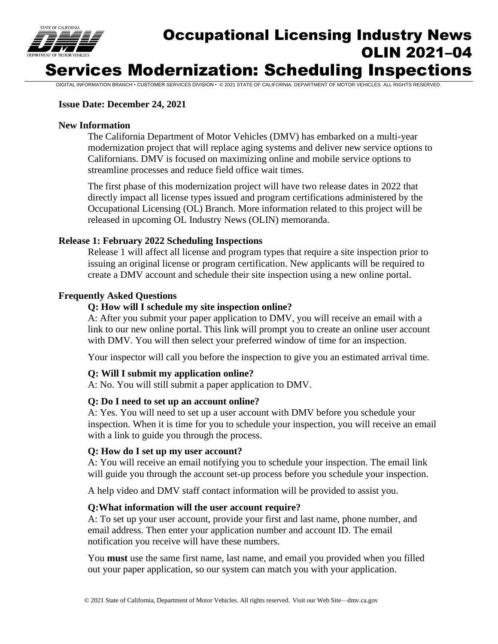

# Occupational Licensing Industry News OLIN 2021–04 Services Modernization: Scheduling Inspections

DIGITAL INFORMATION BRANCH • CUSTOMER SERVICES DIVISION • © 2021 STATE OF CALIFORNIA, DEPARTMENT OF MOTOR VEHICLES. ALL RIGHTS RESERVED.

#### **Issue Date: December 24, 2021**

#### **New Information**

The California Department of Motor Vehicles (DMV) has embarked on a multi-year modernization project that will replace aging systems and deliver new service options to Californians. DMV is focused on maximizing online and mobile service options to streamline processes and reduce field office wait times.

The first phase of this modernization project will have two release dates in 2022 that directly impact all license types issued and program certifications administered by the Occupational Licensing (OL) Branch. More information related to this project will be released in upcoming OL Industry News (OLIN) memoranda.

#### **Release 1: February 2022 Scheduling Inspections**

Release 1 will affect all license and program types that require a site inspection prior to issuing an original license or program certification. New applicants will be required to create a DMV account and schedule their site inspection using a new online portal.

#### **Frequently Asked Questions**

#### **Q: How will I schedule my site inspection online?**

A: After you submit your paper application to DMV, you will receive an email with a link to our new online portal. This link will prompt you to create an online user account with DMV. You will then select your preferred window of time for an inspection.

Your inspector will call you before the inspection to give you an estimated arrival time.

#### **Q: Will I submit my application online?**

A: No. You will still submit a paper application to DMV.

#### **Q: Do I need to set up an account online?**

A: Yes. You will need to set up a user account with DMV before you schedule your inspection. When it is time for you to schedule your inspection, you will receive an email with a link to guide you through the process.

#### **Q: How do I set up my user account?**

A: You will receive an email notifying you to schedule your inspection. The email link will guide you through the account set-up process before you schedule your inspection.

A help video and DMV staff contact information will be provided to assist you.

#### **Q:What information will the user account require?**

A: To set up your user account, provide your first and last name, phone number, and email address. Then enter your application number and account ID. The email notification you receive will have these numbers.

You **must** use the same first name, last name, and email you provided when you filled out your paper application, so our system can match you with your application.